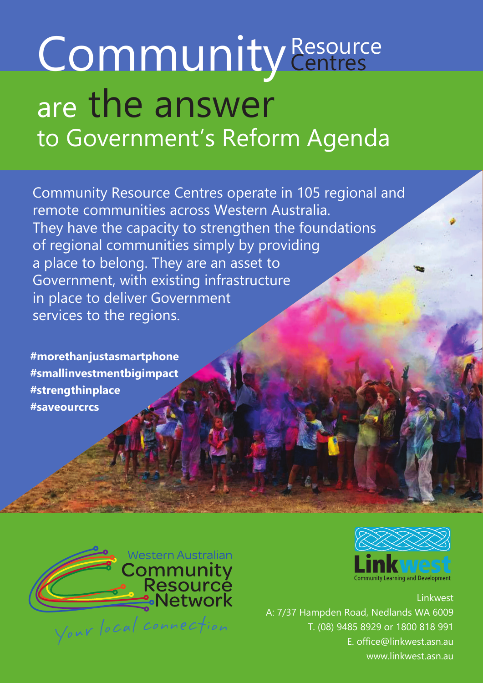# are the answer to Government's Reform Agenda Community Resource

Community Resource Centres operate in 105 regional and remote communities across Western Australia. They have the capacity to strengthen the foundations of regional communities simply by providing a place to belong. They are an asset to Government, with existing infrastructure in place to deliver Government services to the regions.

**#morethanjustasmartphone #smallinvestmentbigimpact #strengthinplace #saveourcrcs**





Linkwest A: 7/37 Hampden Road, Nedlands WA 6009 T. (08) 9485 8929 or 1800 818 991 E. office@linkwest.asn.au www.linkwest.asn.au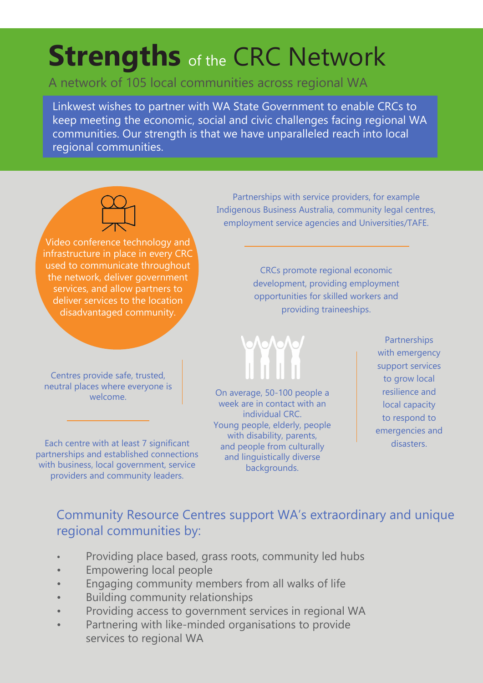## **Strengths** of the CRC Network

#### A network of 105 local communities across regional WA

Linkwest wishes to partner with WA State Government to enable CRCs to keep meeting the economic, social and civic challenges facing regional WA communities. Our strength is that we have unparalleled reach into local regional communities.



Video conference technology and infrastructure in place in every CRC used to communicate throughout the network, deliver government services, and allow partners to deliver services to the location disadvantaged community.

Centres provide safe, trusted, neutral places where everyone is welcome.

Each centre with at least 7 significant partnerships and established connections with business, local government, service providers and community leaders.

Partnerships with service providers, for example Indigenous Business Australia, community legal centres, employment service agencies and Universities/TAFE.

> CRCs promote regional economic development, providing employment opportunities for skilled workers and providing traineeships.



On average, 50-100 people a week are in contact with an individual CRC. Young people, elderly, people with disability, parents, and people from culturally and linguistically diverse backgrounds.

Partnerships with emergency support services to grow local resilience and local capacity to respond to emergencies and disasters.

#### Community Resource Centres support WA's extraordinary and unique regional communities by:

- Providing place based, grass roots, community led hubs
- Empowering local people
- Engaging community members from all walks of life
- Building community relationships
- Providing access to government services in regional WA
- Partnering with like-minded organisations to provide services to regional WA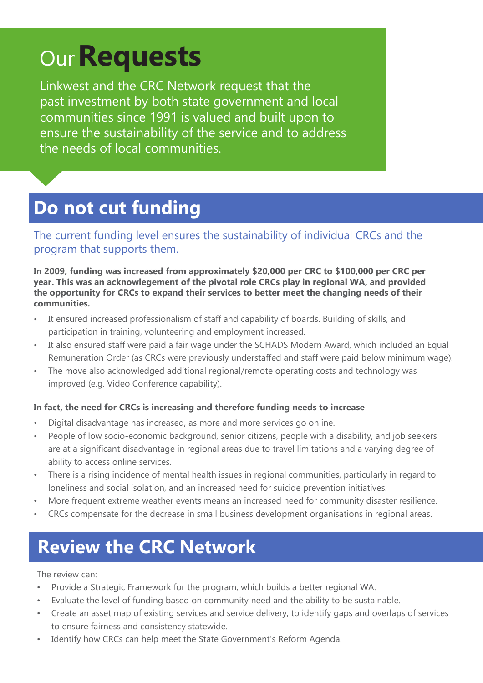# Our**Requests**

Linkwest and the CRC Network request that the past investment by both state government and local communities since 1991 is valued and built upon to ensure the sustainability of the service and to address the needs of local communities.

## **Do not cut funding**

The current funding level ensures the sustainability of individual CRCs and the program that supports them.

**In 2009, funding was increased from approximately \$20,000 per CRC to \$100,000 per CRC per year. This was an acknowlegement of the pivotal role CRCs play in regional WA, and provided the opportunity for CRCs to expand their services to better meet the changing needs of their communities.**

- It ensured increased professionalism of staff and capability of boards. Building of skills, and participation in training, volunteering and employment increased.
- It also ensured staff were paid a fair wage under the SCHADS Modern Award, which included an Equal Remuneration Order (as CRCs were previously understaffed and staff were paid below minimum wage).
- The move also acknowledged additional regional/remote operating costs and technology was improved (e.g. Video Conference capability).

#### **In fact, the need for CRCs is increasing and therefore funding needs to increase**

- Digital disadvantage has increased, as more and more services go online.
- People of low socio-economic background, senior citizens, people with a disability, and job seekers are at a significant disadvantage in regional areas due to travel limitations and a varying degree of ability to access online services.
- There is a rising incidence of mental health issues in regional communities, particularly in regard to loneliness and social isolation, and an increased need for suicide prevention initiatives.
- More frequent extreme weather events means an increased need for community disaster resilience.
- CRCs compensate for the decrease in small business development organisations in regional areas.

## **Review the CRC Network**

The review can:

- Provide a Strategic Framework for the program, which builds a better regional WA.
- Evaluate the level of funding based on community need and the ability to be sustainable.
- Create an asset map of existing services and service delivery, to identify gaps and overlaps of services to ensure fairness and consistency statewide.
- Identify how CRCs can help meet the State Government's Reform Agenda.